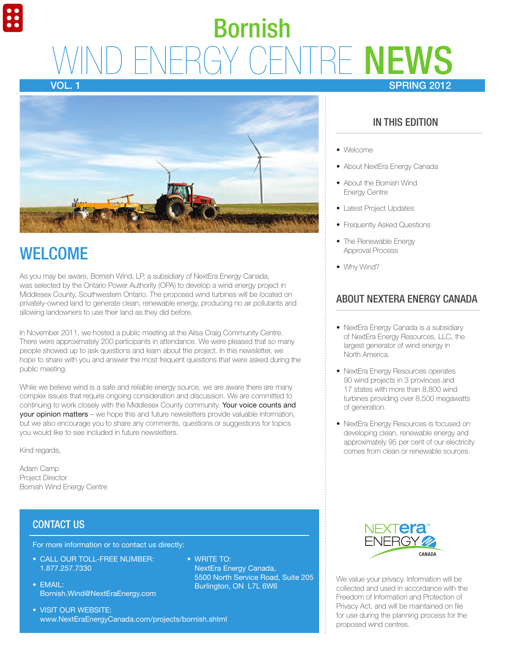# **VIRE NEWS** SPRING 2012 Bornish

Vol. 1



### **WELCOME**

As you may be aware, Bornish Wind, LP, a subsidiary of NextEra Energy Canada, was selected by the Ontario Power Authority (OPA) to develop a wind energy project in Middlesex County, Southwestern Ontario. The proposed wind turbines will be located on privately-owned land to generate clean, renewable energy, producing no air pollutants and allowing landowners to use their land as they did before.

In November 2011, we hosted a public meeting at the Ailsa Craig Community Centre. There were approximately 200 participants in attendance. We were pleased that so many people showed up to ask questions and learn about the project. In this newsletter, we hope to share with you and answer the most frequent questions that were asked during the public meeting.

While we believe wind is a safe and reliable energy source, we are aware there are many complex issues that require ongoing consideration and discussion. We are committed to continuing to work closely with the Middlesex County community. Your voice counts and your opinion matters – we hope this and future newsletters provide valuable information, but we also encourage you to share any comments, questions or suggestions for topics you would like to see included in future newsletters.

• WRITE TO:

NextEra Energy Canada,

Burlington, ON L7L 6W6

5500 North Service Road, Suite 205

Kind regards,

Adam Camp Project Director Bornish Wind Energy Centre

### CONTACT US

For more information or to contact us directly:

- CALL OUR TOLL-FREE NUMBER: 1.877.257.7330
- $\bullet$  FMAII: Bornish.Wind@NextEraEnergy.com
- VISIT OUR WEBSITE: www.NextEraEnergyCanada.com/projects/bornish.shtml

In this Edition

- Welcome
- About NextEra Energy Canada
- About the Bornish Wind Energy Centre
- Latest Project Updates
- Frequently Asked Questions
- The Renewable Energy Approval Process
- Why Wind?

### About NextEra Energy Canada

- NextEra Energy Canada is a subsidiary of NextEra Energy Resources, LLC, the largest generator of wind energy in North America.
- NextEra Energy Resources operates 90 wind projects in 3 provinces and 17 states with more than 8,800 wind turbines providing over 8,500 megawatts of generation.
- NextEra Energy Resources is focused on developing clean, renewable energy and approximately 95 per cent of our electricity comes from clean or renewable sources.



We value your privacy. Information will be collected and used in accordance with the Freedom of Information and Protection of Privacy Act, and will be maintained on file for use during the planning process for the proposed wind centres.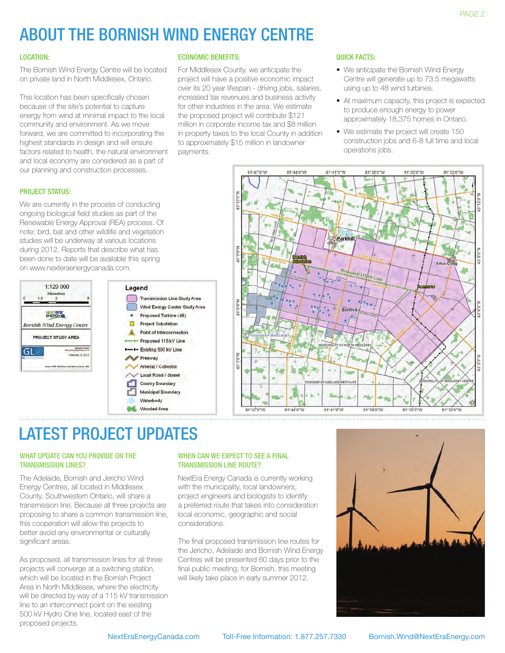## About the Bornish Wind Energy Centre

#### Location:

The Bornish Wind Energy Centre will be located on private land in North Middlesex, Ontario.

This location has been specifically chosen because of the site's potential to capture energy from wind at minimal impact to the local community and environment. As we move forward, we are committed to incorporating the highest standards in design and will ensure factors related to health, the natural environment and local economy are considered as a part of our planning and construction processes.

#### economic Benefits:

For Middlesex County, we anticipate the project will have a positive economic impact over its 20 year lifespan - driving jobs, salaries, increased tax revenues and business activity for other industries in the area. We estimate the proposed project will contribute \$121 million in corporate income tax and \$8 million in property taxes to the local County in addition to approximately \$15 million in landowner payments.

#### Quick facts:

- We anticipate the Bornish Wind Energy Centre will generate up to 73.5 megawatts using up to 48 wind turbines.
- At maximum capacity, this project is expected to produce enough energy to power approximately 18,375 homes in Ontario.
- We estimate the project will create 150 construction jobs and 6-8 full time and local operations jobs.

#### PROJECT STATUS:

We are currently in the process of conducting ongoing biological field studies as part of the Renewable Energy Approval (REA) process. Of note: bird, bat and other wildlife and vegetation studies will be underway at various locations during 2012. Reports that describe what has been done to date will be available this spring on www.nexteraenergycanada.com.





### Latest Project Updates

#### WHAT UPDATE CAN YOU PROVIDE ON THE transmission lines?

The Adelaide, Bornish and Jericho Wind Energy Centres, all located in Middlesex County, Southwestern Ontario, will share a transmission line. Because all three projects are proposing to share a common transmission line, this cooperation will allow the projects to better avoid any environmental or culturally significant areas.

As proposed, all transmission lines for all three projects will converge at a switching station, which will be located in the Bornish Project Area in North Middlesex, where the electricity will be directed by way of a 115 kV transmission line to an interconnect point on the existing 500 kV Hydro One line, located east of the proposed projects.

#### WHEN CAN WE EXPECT TO SEE A FINAL Transmission Line route?

NextEra Energy Canada is currently working with the municipality, local landowners, project engineers and biologists to identify a preferred route that takes into consideration local economic, geographic and social considerations.

The final proposed transmission line routes for the Jericho, Adelaide and Bornish Wind Energy Centres will be presented 60 days prior to the final public meeting; for Bornish, this meeting will likely take place in early summer 2012.

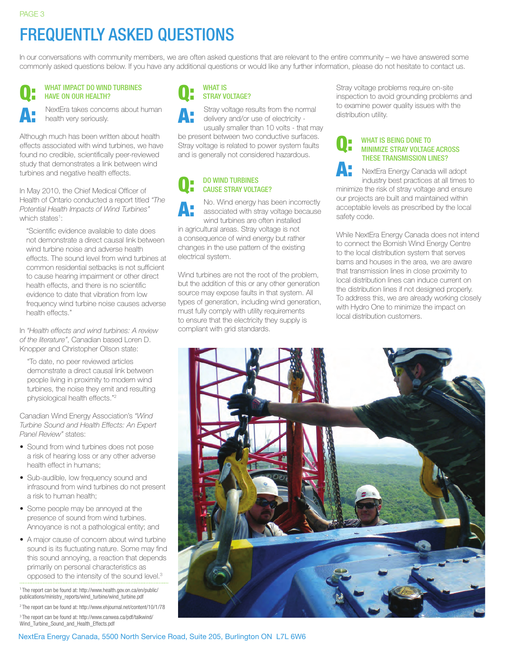A:

## Frequently Asked Questions

In our conversations with community members, we are often asked questions that are relevant to the entire community – we have answered some commonly asked questions below. If you have any additional questions or would like any further information, please do not hesitate to contact us.

#### WHAT IMPACT DO WIND TURBINES have on our health? Q:

NextEra takes concerns about human health very seriously.

Although much has been written about health effects associated with wind turbines, we have found no credible, scientifically peer-reviewed study that demonstrates a link between wind turbines and negative health effects.

In May 2010, the Chief Medical Officer of Health of Ontario conducted a report titled *"The Potential Health Impacts of Wind Turbines"* which states<sup>1</sup>:

"Scientific evidence available to date does not demonstrate a direct causal link between wind turbine noise and adverse health effects. The sound level from wind turbines at common residential setbacks is not sufficient to cause hearing impairment or other direct health effects, and there is no scientific evidence to date that vibration from low frequency wind turbine noise causes adverse health effects."

In *"Health effects and wind turbines: A review of the literature"*, Canadian based Loren D. Knopper and Christopher Ollson state:

"To date, no peer reviewed articles demonstrate a direct causal link between people living in proximity to modern wind turbines, the noise they emit and resulting physiological health effects."2

Canadian Wind Energy Association's *"Wind Turbine Sound and Health Effects: An Expert Panel Review"* states:

- Sound from wind turbines does not pose a risk of hearing loss or any other adverse health effect in humans;
- Sub-audible, low frequency sound and infrasound from wind turbines do not present a risk to human health;
- Some people may be annoyed at the presence of sound from wind turbines. Annoyance is not a pathological entity; and
- A major cause of concern about wind turbine sound is its fluctuating nature. Some may find this sound annoying, a reaction that depends primarily on personal characteristics as opposed to the intensity of the sound level.3

1 The report can be found at: http://www.health.gov.on.ca/en/public/ publications/ministry\_reports/wind\_turbine/wind\_turbine.pdf

2 The report can be found at: http://www.ehjournal.net/content/10/1/78 3 The report can be found at: http://www.canwea.ca/pdf/talkwind/ Wind\_Turbine\_Sound\_and\_Health\_Effects.pdf

#### Q: WHAT IS STRAY VOLTAGE?

A: Stray voltage results from the normal delivery and/or use of electricity -

usually smaller than 10 volts - that may be present between two conductive surfaces. Stray voltage is related to power system faults and is generally not considered hazardous.

#### Q: Do wind turbines cause stray voltage?

A: No. Wind energy has been incorrectly associated with stray voltage because wind turbines are often installed in agricultural areas. Stray voltage is not a consequence of wind energy but rather changes in the use pattern of the existing electrical system.

Wind turbines are not the root of the problem. but the addition of this or any other generation source may expose faults in that system. All types of generation, including wind generation, must fully comply with utility requirements to ensure that the electricity they supply is compliant with grid standards.

Stray voltage problems require on-site inspection to avoid grounding problems and to examine power quality issues with the distribution utility.

#### Q: WHAT IS BEING DONE TO minimize stray voltage across these transmission lines?

A: NextEra Energy Canada will adopt industry best practices at all times to minimize the risk of stray voltage and ensure our projects are built and maintained within acceptable levels as prescribed by the local safety code.

While NextEra Energy Canada does not intend to connect the Bornish Wind Energy Centre to the local distribution system that serves barns and houses in the area, we are aware that transmission lines in close proximity to local distribution lines can induce current on the distribution lines if not designed properly. To address this, we are already working closely with Hydro One to minimize the impact on local distribution customers.



NextEra Energy Canada, 5500 North Service Road, Suite 205, Burlington ON L7L 6W6